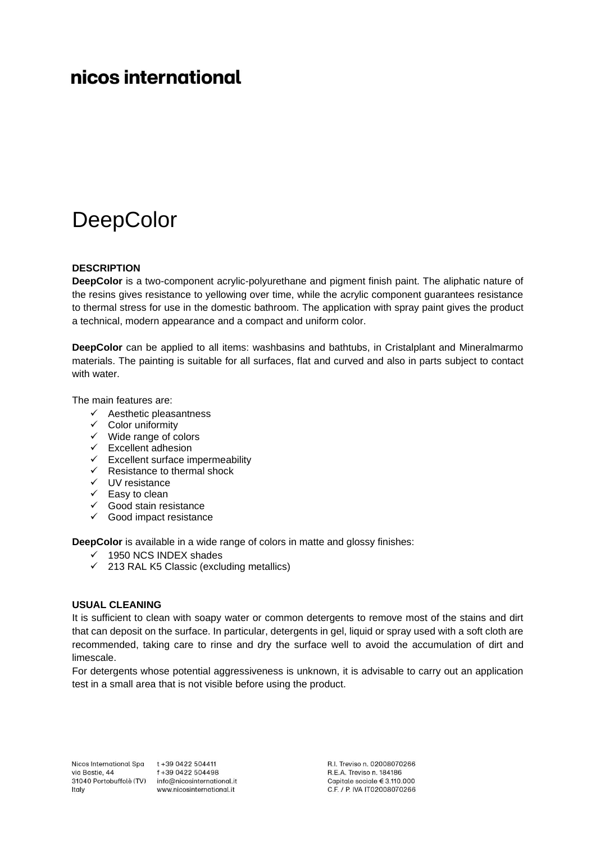# nicos international

# **DeepColor**

### **DESCRIPTION**

**DeepColor** is a two-component acrylic-polyurethane and pigment finish paint. The aliphatic nature of the resins gives resistance to yellowing over time, while the acrylic component guarantees resistance to thermal stress for use in the domestic bathroom. The application with spray paint gives the product a technical, modern appearance and a compact and uniform color.

**DeepColor** can be applied to all items: washbasins and bathtubs, in Cristalplant and Mineralmarmo materials. The painting is suitable for all surfaces, flat and curved and also in parts subject to contact with water.

The main features are:

- $\checkmark$  Aesthetic pleasantness
- ✓ Color uniformity
- ✓ Wide range of colors
- ✓ Excellent adhesion
- ✓ Excellent surface impermeability
- ✓ Resistance to thermal shock
- ✓ UV resistance
- ✓ Easy to clean
- ✓ Good stain resistance
- $\checkmark$  Good impact resistance

**DeepColor** is available in a wide range of colors in matte and glossy finishes:

- $\checkmark$  1950 NCS INDEX shades
- $\checkmark$  213 RAL K5 Classic (excluding metallics)

#### **USUAL CLEANING**

It is sufficient to clean with soapy water or common detergents to remove most of the stains and dirt that can deposit on the surface. In particular, detergents in gel, liquid or spray used with a soft cloth are recommended, taking care to rinse and dry the surface well to avoid the accumulation of dirt and limescale.

For detergents whose potential aggressiveness is unknown, it is advisable to carry out an application test in a small area that is not visible before using the product.

Nicos International Spa t +39 0422 504411 via Bastie, 44 Italy

f+39 0422 504498 31040 Portobuffolè (TV) info@nicosinternational.it www.nicosinternational.it

R.I. Treviso n. 02008070266 R.E.A. Treviso n. 184186 Capitale sociale € 3.110.000 C.F. / P. IVA IT02008070266